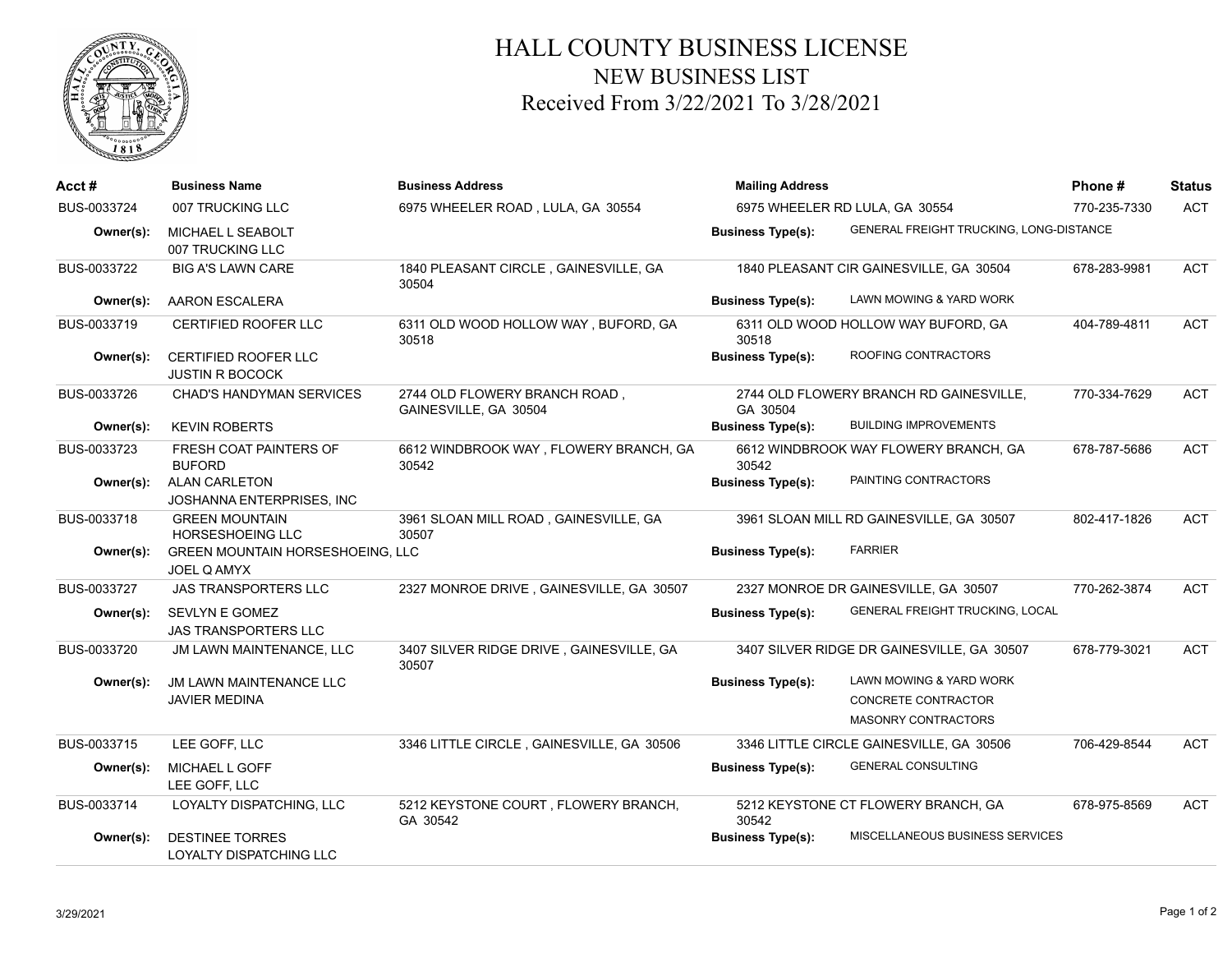

## HALL COUNTY BUSINESS LICENSE NEW BUSINESS LIST Received From 3/22/2021 To 3/28/2021

| Acct #      | <b>Business Name</b>                                     | <b>Business Address</b>                                | <b>Mailing Address</b>         |                                                | Phone#       | <b>Status</b> |
|-------------|----------------------------------------------------------|--------------------------------------------------------|--------------------------------|------------------------------------------------|--------------|---------------|
| BUS-0033724 | 007 TRUCKING LLC                                         | 6975 WHEELER ROAD, LULA, GA 30554                      | 6975 WHEELER RD LULA, GA 30554 |                                                | 770-235-7330 | <b>ACT</b>    |
| Owner(s):   | MICHAEL L SEABOLT<br>007 TRUCKING LLC                    |                                                        | <b>Business Type(s):</b>       | GENERAL FREIGHT TRUCKING, LONG-DISTANCE        |              |               |
| BUS-0033722 | <b>BIG A'S LAWN CARE</b>                                 | 1840 PLEASANT CIRCLE, GAINESVILLE, GA<br>30504         |                                | 1840 PLEASANT CIR GAINESVILLE, GA 30504        | 678-283-9981 | <b>ACT</b>    |
| Owner(s):   | <b>AARON ESCALERA</b>                                    |                                                        | <b>Business Type(s):</b>       | LAWN MOWING & YARD WORK                        |              |               |
| BUS-0033719 | <b>CERTIFIED ROOFER LLC</b>                              | 6311 OLD WOOD HOLLOW WAY, BUFORD, GA<br>30518          | 30518                          | 6311 OLD WOOD HOLLOW WAY BUFORD, GA            | 404-789-4811 | <b>ACT</b>    |
| Owner(s):   | <b>CERTIFIED ROOFER LLC</b><br><b>JUSTIN R BOCOCK</b>    |                                                        | <b>Business Type(s):</b>       | ROOFING CONTRACTORS                            |              |               |
| BUS-0033726 | <b>CHAD'S HANDYMAN SERVICES</b>                          | 2744 OLD FLOWERY BRANCH ROAD,<br>GAINESVILLE, GA 30504 | GA 30504                       | 2744 OLD FLOWERY BRANCH RD GAINESVILLE,        | 770-334-7629 | <b>ACT</b>    |
| Owner(s):   | <b>KEVIN ROBERTS</b>                                     |                                                        | <b>Business Type(s):</b>       | <b>BUILDING IMPROVEMENTS</b>                   |              |               |
| BUS-0033723 | FRESH COAT PAINTERS OF<br><b>BUFORD</b>                  | 6612 WINDBROOK WAY, FLOWERY BRANCH, GA<br>30542        | 30542                          | 6612 WINDBROOK WAY FLOWERY BRANCH, GA          | 678-787-5686 | <b>ACT</b>    |
| Owner(s):   | <b>ALAN CARLETON</b><br><b>JOSHANNA ENTERPRISES. INC</b> |                                                        | <b>Business Type(s):</b>       | PAINTING CONTRACTORS                           |              |               |
| BUS-0033718 | <b>GREEN MOUNTAIN</b><br><b>HORSESHOEING LLC</b>         | 3961 SLOAN MILL ROAD, GAINESVILLE, GA<br>30507         |                                | 3961 SLOAN MILL RD GAINESVILLE, GA 30507       | 802-417-1826 | <b>ACT</b>    |
| Owner(s):   | <b>GREEN MOUNTAIN HORSESHOEING, LLC</b><br>JOEL Q AMYX   |                                                        | <b>Business Type(s):</b>       | <b>FARRIER</b>                                 |              |               |
| BUS-0033727 | <b>JAS TRANSPORTERS LLC</b>                              | 2327 MONROE DRIVE, GAINESVILLE, GA 30507               |                                | 2327 MONROE DR GAINESVILLE, GA 30507           | 770-262-3874 | <b>ACT</b>    |
| Owner(s):   | SEVLYN E GOMEZ<br><b>JAS TRANSPORTERS LLC</b>            |                                                        | <b>Business Type(s):</b>       | <b>GENERAL FREIGHT TRUCKING, LOCAL</b>         |              |               |
| BUS-0033720 | JM LAWN MAINTENANCE, LLC                                 | 3407 SILVER RIDGE DRIVE, GAINESVILLE, GA<br>30507      |                                | 3407 SILVER RIDGE DR GAINESVILLE, GA 30507     | 678-779-3021 | <b>ACT</b>    |
| Owner(s):   | <b>JM LAWN MAINTENANCE LLC</b><br><b>JAVIER MEDINA</b>   |                                                        | <b>Business Type(s):</b>       | LAWN MOWING & YARD WORK<br>CONCRETE CONTRACTOR |              |               |
|             |                                                          |                                                        |                                | <b>MASONRY CONTRACTORS</b>                     |              |               |
| BUS-0033715 | LEE GOFF, LLC                                            | 3346 LITTLE CIRCLE, GAINESVILLE, GA 30506              |                                | 3346 LITTLE CIRCLE GAINESVILLE, GA 30506       | 706-429-8544 | <b>ACT</b>    |
| Owner(s):   | MICHAEL L GOFF<br>LEE GOFF, LLC                          |                                                        | <b>Business Type(s):</b>       | <b>GENERAL CONSULTING</b>                      |              |               |
| BUS-0033714 | LOYALTY DISPATCHING, LLC                                 | 5212 KEYSTONE COURT, FLOWERY BRANCH,<br>GA 30542       | 30542                          | 5212 KEYSTONE CT FLOWERY BRANCH, GA            | 678-975-8569 | <b>ACT</b>    |
| Owner(s):   | <b>DESTINEE TORRES</b><br>LOYALTY DISPATCHING LLC        |                                                        | <b>Business Type(s):</b>       | MISCELLANEOUS BUSINESS SERVICES                |              |               |